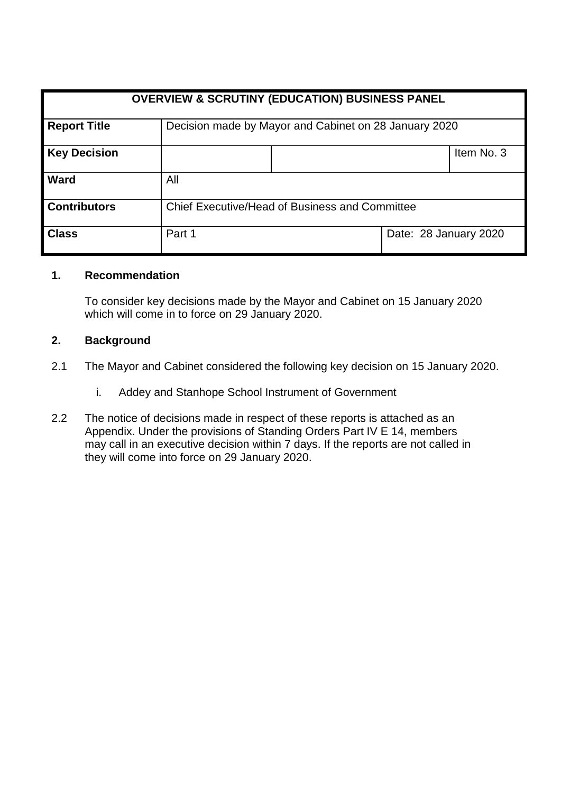| <b>OVERVIEW &amp; SCRUTINY (EDUCATION) BUSINESS PANEL</b> |                                                       |  |                       |            |
|-----------------------------------------------------------|-------------------------------------------------------|--|-----------------------|------------|
| <b>Report Title</b>                                       | Decision made by Mayor and Cabinet on 28 January 2020 |  |                       |            |
| <b>Key Decision</b>                                       |                                                       |  |                       | Item No. 3 |
| Ward                                                      | All                                                   |  |                       |            |
| <b>Contributors</b>                                       | Chief Executive/Head of Business and Committee        |  |                       |            |
| <b>Class</b>                                              | Part 1                                                |  | Date: 28 January 2020 |            |

## **1. Recommendation**

To consider key decisions made by the Mayor and Cabinet on 15 January 2020 which will come in to force on 29 January 2020.

## **2. Background**

- 2.1 The Mayor and Cabinet considered the following key decision on 15 January 2020.
	- i. Addey and Stanhope School Instrument of Government
- 2.2 The notice of decisions made in respect of these reports is attached as an Appendix. Under the provisions of Standing Orders Part IV E 14, members may call in an executive decision within 7 days. If the reports are not called in they will come into force on 29 January 2020.